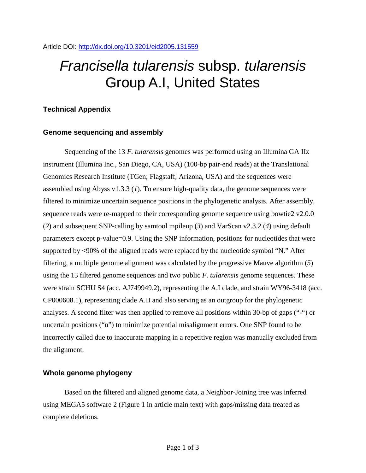# *Francisella tularensis* subsp. *tularensis* Group A.I, United States

### **Technical Appendix**

#### **Genome sequencing and assembly**

Sequencing of the 13 *F. tularensis* genomes was performed using an Illumina GA IIx instrument (Illumina Inc., San Diego, CA, USA) (100-bp pair-end reads) at the Translational Genomics Research Institute (TGen; Flagstaff, Arizona, USA) and the sequences were assembled using Abyss v1.3.3 (*1*). To ensure high-quality data, the genome sequences were filtered to minimize uncertain sequence positions in the phylogenetic analysis. After assembly, sequence reads were re-mapped to their corresponding genome sequence using bowtie2 v2.0.0 (*2*) and subsequent SNP-calling by samtool mpileup (*3*) and VarScan v2.3.2 (*4*) using default parameters except p-value=0.9. Using the SNP information, positions for nucleotides that were supported by <90% of the aligned reads were replaced by the nucleotide symbol "N." After filtering, a multiple genome alignment was calculated by the progressive Mauve algorithm (*5*) using the 13 filtered genome sequences and two public *F. tularensis* genome sequences. These were strain SCHU S4 (acc. AJ749949.2), representing the A.I clade, and strain WY96-3418 (acc. CP000608.1), representing clade A.II and also serving as an outgroup for the phylogenetic analyses. A second filter was then applied to remove all positions within 30-bp of gaps ("-") or uncertain positions ("n") to minimize potential misalignment errors. One SNP found to be incorrectly called due to inaccurate mapping in a repetitive region was manually excluded from the alignment.

#### **Whole genome phylogeny**

Based on the filtered and aligned genome data, a Neighbor-Joining tree was inferred using MEGA5 software 2 (Figure 1 in article main text) with gaps/missing data treated as complete deletions.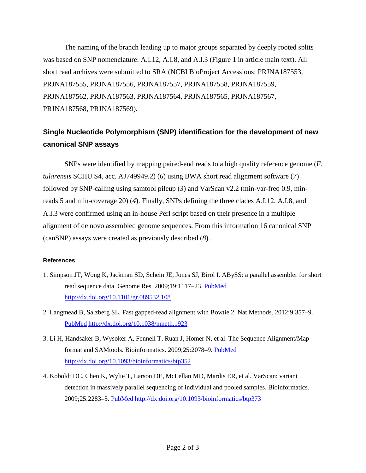The naming of the branch leading up to major groups separated by deeply rooted splits was based on SNP nomenclature: A.I.12, A.I.8, and A.I.3 (Figure 1 in article main text). All short read archives were submitted to SRA (NCBI BioProject Accessions: PRJNA187553, PRJNA187555, PRJNA187556, PRJNA187557, PRJNA187558, PRJNA187559, PRJNA187562, PRJNA187563, PRJNA187564, PRJNA187565, PRJNA187567, PRJNA187568, PRJNA187569).

## **Single Nucleotide Polymorphism (SNP) identification for the development of new canonical SNP assays**

SNPs were identified by mapping paired-end reads to a high quality reference genome (*F. tularensis* SCHU S4, acc. AJ749949.2) (*6*) using BWA short read alignment software (*7*) followed by SNP-calling using samtool pileup (*3*) and VarScan v2.2 (min-var-freq 0.9, minreads 5 and min-coverage 20) (*4*). Finally, SNPs defining the three clades A.I.12, A.I.8, and A.I.3 were confirmed using an in-house Perl script based on their presence in a multiple alignment of de novo assembled genome sequences. From this information 16 canonical SNP (canSNP) assays were created as previously described (*8*).

#### **References**

- 1. Simpson JT, Wong K, Jackman SD, Schein JE, Jones SJ, Birol I. ABySS: a parallel assembler for short read sequence data. Genome Res. 2009;19:1117–23. [PubMed](http://www.ncbi.nlm.nih.gov/entrez/query.fcgi?cmd=Retrieve&db=PubMed&list_uids=19251739&dopt=Abstract) <http://dx.doi.org/10.1101/gr.089532.108>
- 2. Langmead B, Salzberg SL. Fast gapped-read alignment with Bowtie 2. Nat Methods. 2012;9:357–9[.](http://www.ncbi.nlm.nih.gov/entrez/query.fcgi?cmd=Retrieve&db=PubMed&list_uids=22388286&dopt=Abstract) [PubMed](http://www.ncbi.nlm.nih.gov/entrez/query.fcgi?cmd=Retrieve&db=PubMed&list_uids=22388286&dopt=Abstract) <http://dx.doi.org/10.1038/nmeth.1923>
- 3. Li H, Handsaker B, Wysoker A, Fennell T, Ruan J, Homer N, et al. The Sequence Alignment/Map format and SAMtools. Bioinformatics. 2009;25:2078–9. [PubMed](http://www.ncbi.nlm.nih.gov/entrez/query.fcgi?cmd=Retrieve&db=PubMed&list_uids=19505943&dopt=Abstract) <http://dx.doi.org/10.1093/bioinformatics/btp352>
- 4. Koboldt DC, Chen K, Wylie T, Larson DE, McLellan MD, Mardis ER, et al. VarScan: variant detection in massively parallel sequencing of individual and pooled samples. Bioinformatics. 2009;25:2283–5. [PubMed](http://www.ncbi.nlm.nih.gov/entrez/query.fcgi?cmd=Retrieve&db=PubMed&list_uids=19542151&dopt=Abstract) <http://dx.doi.org/10.1093/bioinformatics/btp373>